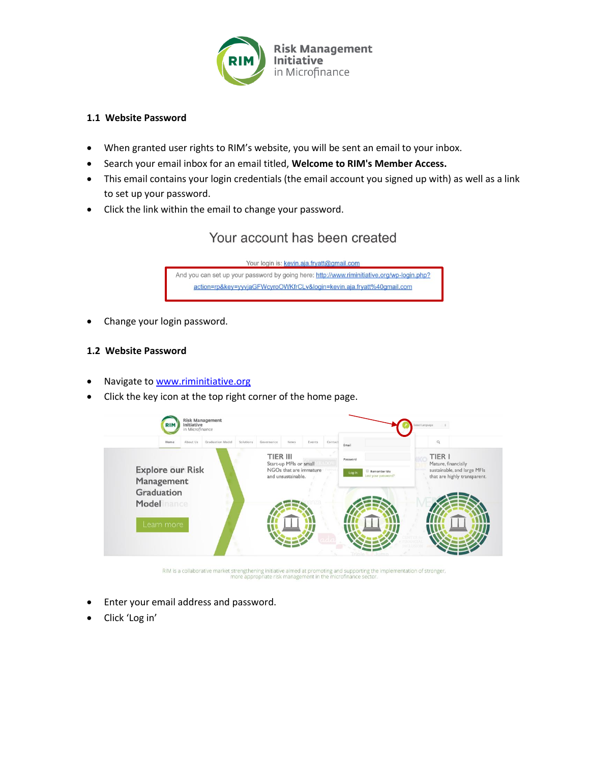

### **1.1 Website Password**

- When granted user rights to RIM's website, you will be sent an email to your inbox.
- Search your email inbox for an email titled, **Welcome to RIM's Member Access.**
- This email contains your login credentials (the email account you signed up with) as well as a link to set up your password.
- Click the link within the email to change your password.

# Your account has been created



• Change your login password.

#### **1.2 Website Password**

- Navigate to [www.riminitiative.org](http://www.riminitiative.org/)
- Click the key icon at the top right corner of the home page.



RIM is a collaborative market strengthening initiative aimed at promoting and supporting the implementation of stronger,<br>more appropriate risk management in the microfinance sector.

- Enter your email address and password.
- Click 'Log in'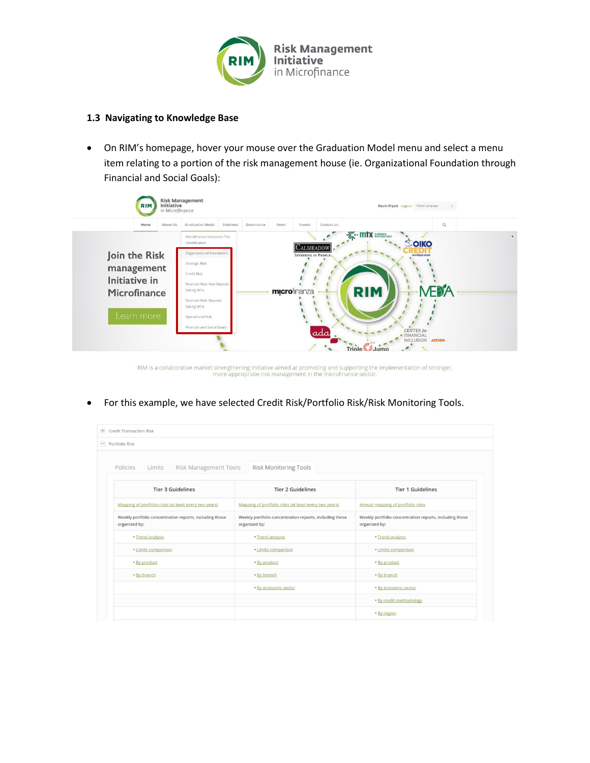

#### **1.3 Navigating to Knowledge Base**

 On RIM's homepage, hover your mouse over the Graduation Model menu and select a menu item relating to a portion of the risk management house (ie. Organizational Foundation through Financial and Social Goals):

|               | <b>Graduation Model</b><br>About Us<br>Solutions | Governance<br>News<br>Events<br>Contact Us     | $\alpha$                                     |
|---------------|--------------------------------------------------|------------------------------------------------|----------------------------------------------|
|               | Microfinance Institution Tier<br>Identification  |                                                | - <sup>2</sup> <sup>-</sup> · mtx assessmess |
| Join the Risk | Organizational Foundation                        | <b>CALMEADOW</b><br><b>INVESTING IN PROPLE</b> | <b>LOIKO</b><br><b>Investing in people</b>   |
|               | Strategic Risk                                   |                                                |                                              |
| management    | Credit Risk                                      |                                                |                                              |
| Initiative in | Financial Risk: Non Deposit-                     |                                                |                                              |
| Microfinance  | Taking MFIs                                      | microfinanza                                   | ÆBA<br><b>RIM</b>                            |
|               | Financial Risk: Deposit-<br>Taking MFIs          |                                                |                                              |
| Learn more    | Operational Risk                                 |                                                |                                              |
|               |                                                  |                                                |                                              |

RIM is a collaborative market strengthening initiative aimed at promoting and supporting the implementation of stronger,<br>more appropriate risk management in the microfinance sector.

For this example, we have selected Credit Risk/Portfolio Risk/Risk Monitoring Tools.

| <b>F</b> Credit Transaction Risk                                         |                                                                          |                                                                          |
|--------------------------------------------------------------------------|--------------------------------------------------------------------------|--------------------------------------------------------------------------|
| $=$ Portfolio Risk                                                       |                                                                          |                                                                          |
| Policies<br>Limits<br><b>Risk Management Tools</b>                       | <b>Risk Monitoring Tools</b>                                             |                                                                          |
| <b>Tier 3 Guidelines</b>                                                 | <b>Tier 2 Guidelines</b>                                                 | <b>Tier 1 Guidelines</b>                                                 |
| Mapping of portfolio risks (at least every two years)                    | Mapping of portfolio risks (at least every two years)                    | Annual mapping of portfolio risks                                        |
| Weekly portfolio concentration reports, including those<br>organized by: | Weekly portfolio concentration reports, including those<br>organized by: | Weekly portfolio concentration reports, including those<br>organized by: |
| · Trend analysis                                                         | · Trend analysis                                                         | · Trend analysis                                                         |
| · Limits comparison                                                      | · Limits comparison                                                      | · Limits comparison                                                      |
| . By product                                                             | · By product                                                             | · By product                                                             |
| • By branch                                                              | • By branch                                                              | • By branch                                                              |
|                                                                          | · By economic sector                                                     | · By economic sector                                                     |
|                                                                          |                                                                          | · By credit methodology                                                  |
|                                                                          |                                                                          | • By region                                                              |
|                                                                          |                                                                          |                                                                          |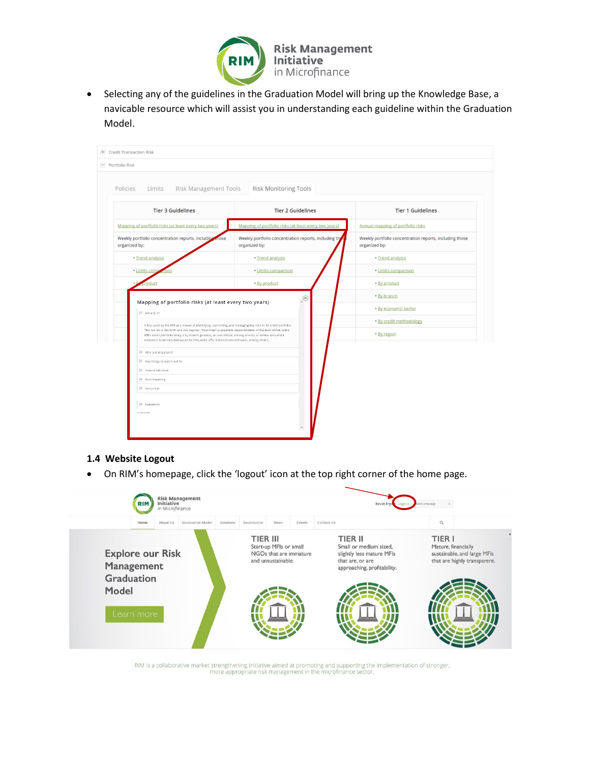

 Selecting any of the guidelines in the Graduation Model will bring up the Knowledge Base, a navicable resource which will assist you in understanding each guideline within the Graduation Model.



## **1.4 Website Logout**

On RIM's homepage, click the 'logout' icon at the top right corner of the home page.



RIM is a collaborative market strengthening initiative aimed at promoting and supporting the implementation of stronger,<br>more appropriate risk management in the microfinance sector.